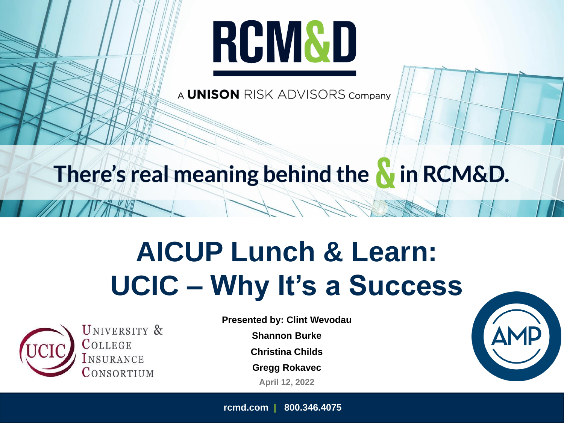# **RCM&D**

A **UNISON** RISK ADVISORS Company

### There's real meaning behind the **N** in RCM&D.

# **AICUP Lunch & Learn: UCIC – Why It's a Success**



UNIVERSITY & COLLEGE **NSURANCE** ONSORTIUM

**Presented by: Clint Wevodau**

**Shannon Burke**

**Christina Childs**

**Gregg Rokavec**

**April 12, 2022**

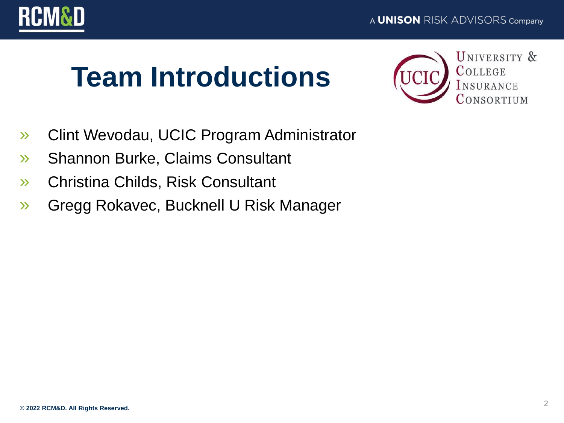

### **Team Introductions**



- » Clint Wevodau, UCIC Program Administrator
- » Shannon Burke, Claims Consultant
- » Christina Childs, Risk Consultant
- » Gregg Rokavec, Bucknell U Risk Manager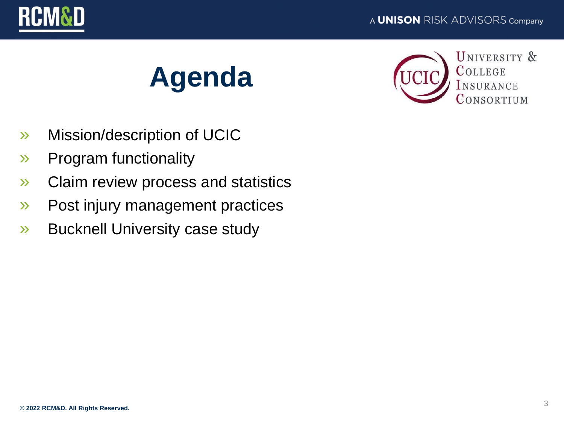







- » Mission/description of UCIC
- » Program functionality
- » Claim review process and statistics
- » Post injury management practices
- » Bucknell University case study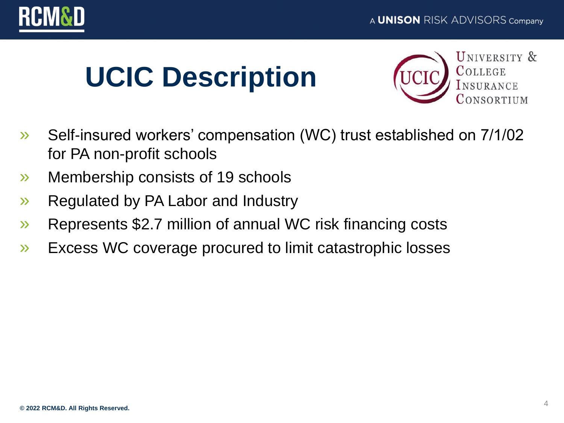

# **UCIC Description**



- » Self-insured workers' compensation (WC) trust established on 7/1/02 for PA non-profit schools
- » Membership consists of 19 schools
- » Regulated by PA Labor and Industry
- » Represents \$2.7 million of annual WC risk financing costs
- » Excess WC coverage procured to limit catastrophic losses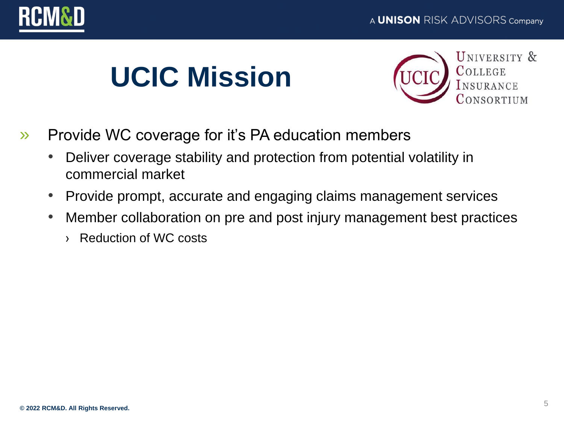



# **UCIC Mission**



- » Provide WC coverage for it's PA education members
	- Deliver coverage stability and protection from potential volatility in commercial market
	- Provide prompt, accurate and engaging claims management services
	- Member collaboration on pre and post injury management best practices
		- › Reduction of WC costs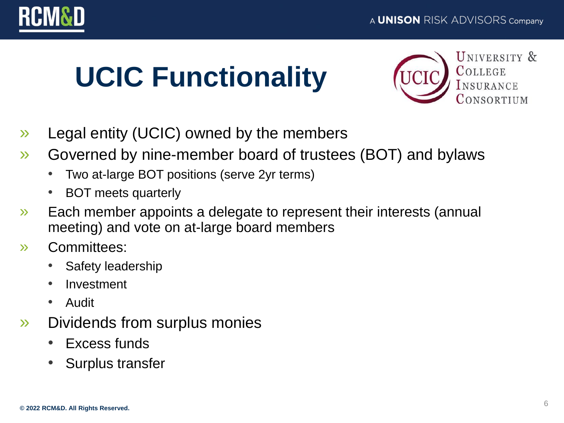



# **UCIC Functionality**



- » Legal entity (UCIC) owned by the members
- » Governed by nine-member board of trustees (BOT) and bylaws
	- Two at-large BOT positions (serve 2yr terms)
	- BOT meets quarterly
- » Each member appoints a delegate to represent their interests (annual meeting) and vote on at-large board members
- » Committees:
	- Safety leadership
	- Investment
	- Audit
- » Dividends from surplus monies
	- Excess funds
	- Surplus transfer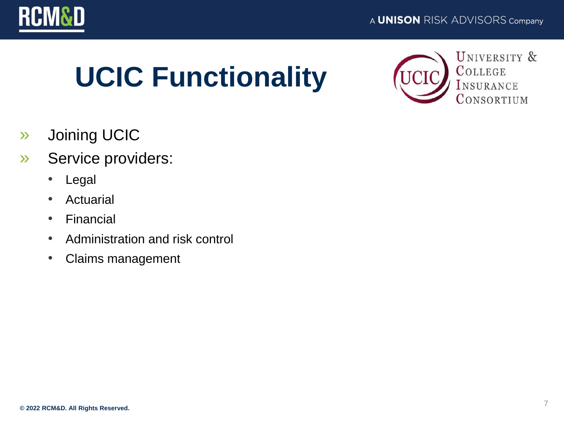

# **UCIC Functionality**



- » Joining UCIC
- » Service providers:
	- Legal
	- Actuarial
	- Financial
	- Administration and risk control
	- Claims management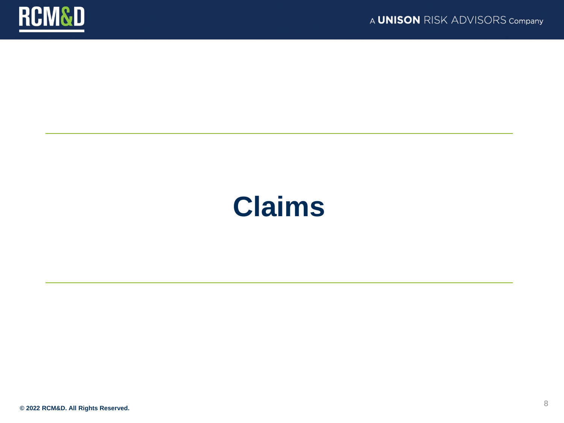

### **Claims**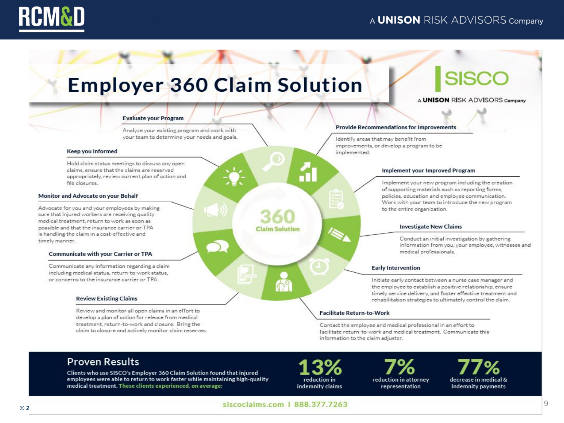

### **Employer 360 Claim Solution**

### **SISCO**

A **UNISON** RISK ADVISORS Company

#### **Evaluate your Program**

Analyze your existing program and work with your team to determine your needs and goals.

#### Keep you Informed

Hold claim status meetings to discuss any open claims, ensure that the claims are reserved appropriately, review current plan of action and file closures.

#### Monitor and Advocate on your Behalf

Advocate for you and your employees by making sure that injured workers are receiving quality medical treatment, return to work as soon as possible and that the insurance carrier or TPA is handling the claim in a cost-effective and timely manner.

#### **Communicate with your Carrier or TPA**

Communicate any information regarding a claim including medical status, return-to-work status, or concerns to the insurance carrier or TPA

#### **Review Existing Claims**

Review and monitor all open claims in an effort to develop a plan of action for release from medical treatment, return-to-work and closure. Bring the claim to closure and actively monitor claim reserves.

#### **Provide Recommendations for Improvements**

Identify areas that may benefit from improvements, or develop a program to be implemented.

#### Implement your Improved Program

Implement your new program including the creation of supporting materials such as reporting forms. policies, education and employee communication. Work with your team to introduce the new program to the entire organization.

#### **Investigate New Claims**

Conduct an initial investigation by gathering information from you, your employee, witnesses and medical professionals.

#### **Early Intervention**

Initiate early contact between a nurse case manager and the employee to establish a positive relationship, ensure timely service delivery, and foster effective treatment and rehabilitation strategies to ultimately control the claim.

#### **Facilitate Return-to-Work**

Contact the employee and medical professional in an effort to facilitate return-to-work and medical treatment. Communicate this information to the claim adjuster.

#### **Proven Results**

Clients who use SISCO's Employer 360 Claim Solution found that injured employees were able to return to work faster while maintaining high-quality medical treatment. These clients experienced, on average:

reduction in indemnity claims

reduction in attorney representation

77% decrease in medical & indemnity payments

siscoclaims.com | 888.377.7263

**Claim Solution** 

**D**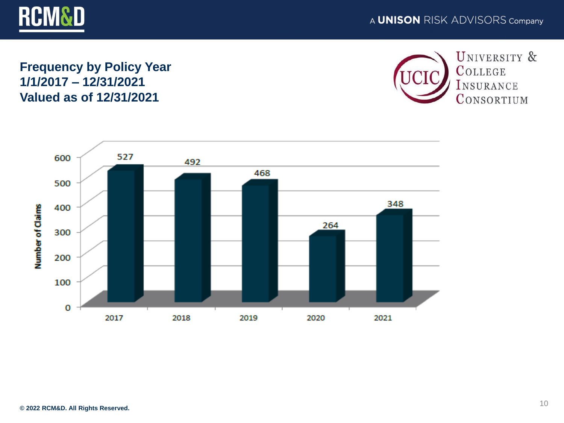

### **Frequency by Policy Year 1/1/2017 – 12/31/2021 Valued as of 12/31/2021**



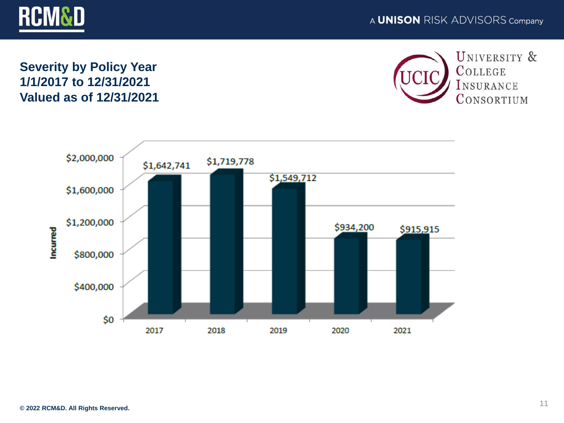

#### A **UNISON** RISK ADVISORS Company

### **Severity by Policy Year 1/1/2017 to 12/31/2021 Valued as of 12/31/2021**



UNIVERSITY & COLLEGE INSURANCE CONSORTIUM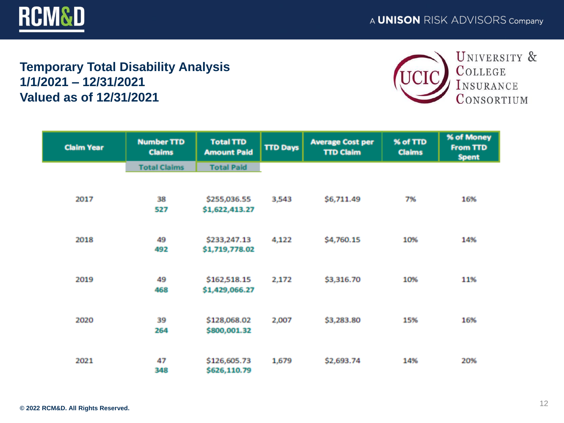

### **Temporary Total Disability Analysis 1/1/2021 – 12/31/2021 Valued as of 12/31/2021**



| <b>Claim Year</b> | <b>Number TTD</b><br><b>Claims</b> | <b>Total TTD</b><br><b>Amount Paid</b> | <b>TTD Days</b> | <b>Average Cost per</b><br><b>TTD Claim</b> | % of TTD<br><b>Claims</b> | % of Money<br>From TTD<br><b>Spent</b> |
|-------------------|------------------------------------|----------------------------------------|-----------------|---------------------------------------------|---------------------------|----------------------------------------|
|                   | <b>Total Claims</b>                | <b>Total Paid</b>                      |                 |                                             |                           |                                        |
|                   |                                    |                                        |                 |                                             |                           |                                        |
| 2017              | 38                                 | \$255,036.55                           | 3,543           | \$6,711.49                                  | 7%                        | 16%                                    |
|                   | 527                                | \$1,622,413.27                         |                 |                                             |                           |                                        |
|                   |                                    |                                        |                 |                                             |                           |                                        |
| 2018              | 49                                 | \$233,247.13                           | 4,122           | \$4,760.15                                  | 10%                       | 14%                                    |
|                   | 492                                | \$1,719,778.02                         |                 |                                             |                           |                                        |
|                   |                                    |                                        |                 |                                             |                           |                                        |
| 2019              | 49                                 | \$162,518.15                           | 2,172           | \$3,316.70                                  | 10%                       | 11%                                    |
|                   | 468                                | \$1,429,066.27                         |                 |                                             |                           |                                        |
|                   |                                    |                                        |                 |                                             |                           |                                        |
| 2020              | 39                                 | \$128,068.02                           | 2,007           | \$3,283.80                                  | 15%                       | 16%                                    |
|                   | 264                                | \$800,001.32                           |                 |                                             |                           |                                        |
|                   |                                    |                                        |                 |                                             |                           |                                        |
| 2021              | 47                                 | \$126,605.73                           | 1,679           | \$2,693.74                                  | 14%                       | 20%                                    |
|                   | 348                                | \$626,110.79                           |                 |                                             |                           |                                        |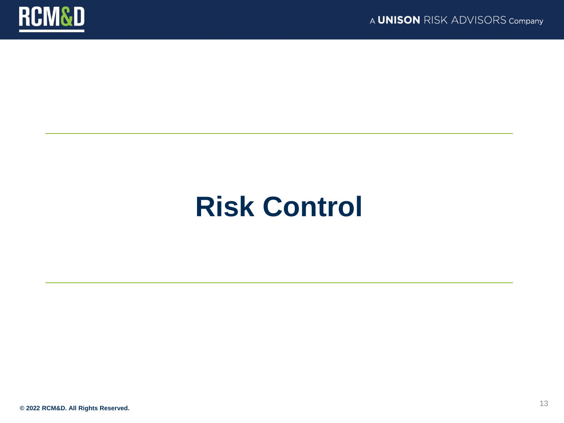

## **Risk Control**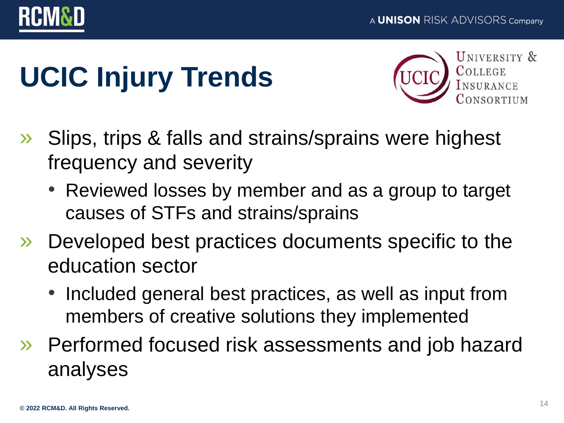

# **UCIC Injury Trends**



- » Slips, trips & falls and strains/sprains were highest frequency and severity
	- Reviewed losses by member and as a group to target causes of STFs and strains/sprains
- » Developed best practices documents specific to the education sector
	- Included general best practices, as well as input from members of creative solutions they implemented
- » Performed focused risk assessments and job hazard analyses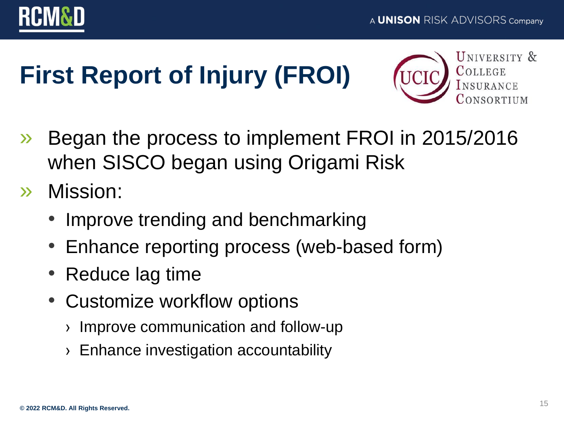

# **First Report of Injury (FROI)**



- » Began the process to implement FROI in 2015/2016 when SISCO began using Origami Risk
- » Mission:
	- Improve trending and benchmarking
	- Enhance reporting process (web-based form)
	- Reduce lag time
	- Customize workflow options
		- › Improve communication and follow-up
		- › Enhance investigation accountability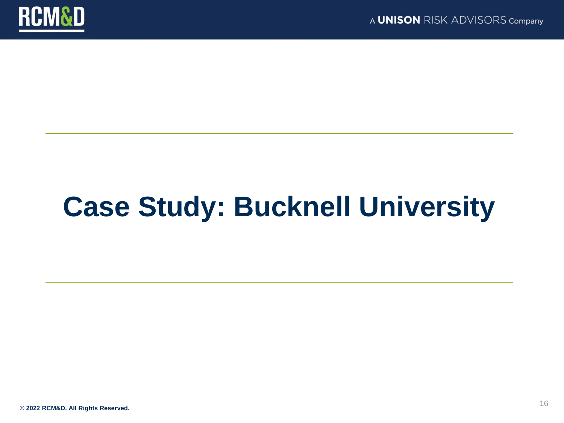

# **Case Study: Bucknell University**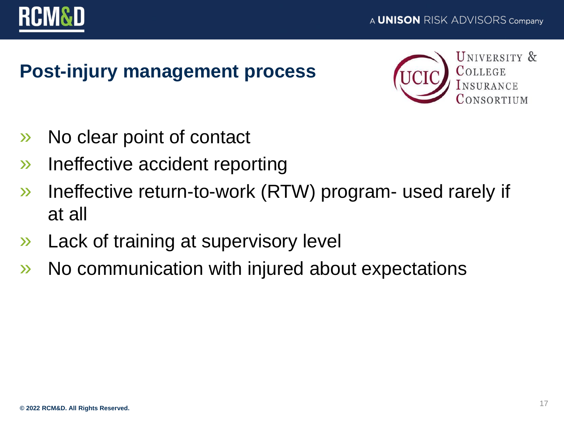

### **Post-injury management process**



- » No clear point of contact
- » Ineffective accident reporting
- » Ineffective return-to-work (RTW) program- used rarely if at all
- » Lack of training at supervisory level
- » No communication with injured about expectations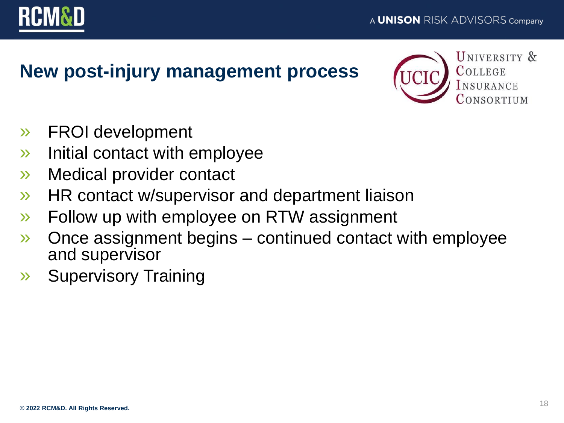

### **New post-injury management process**



- » FROI development
- » Initial contact with employee
- » Medical provider contact
- » HR contact w/supervisor and department liaison
- » Follow up with employee on RTW assignment
- » Once assignment begins continued contact with employee and supervisor
- » Supervisory Training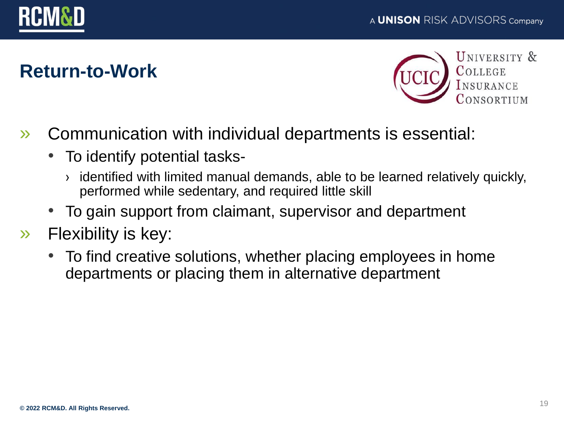

### **Return-to-Work**



- » Communication with individual departments is essential:
	- To identify potential tasks-
		- › identified with limited manual demands, able to be learned relatively quickly, performed while sedentary, and required little skill
	- To gain support from claimant, supervisor and department
- » Flexibility is key:
	- To find creative solutions, whether placing employees in home departments or placing them in alternative department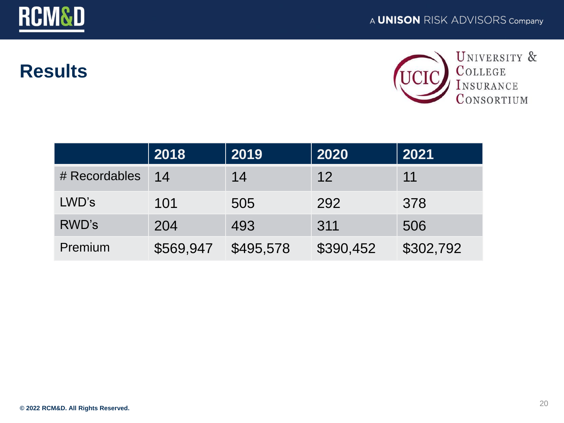

### **Results**



|               | 2018      | 2019      | 2020              | 2021      |
|---------------|-----------|-----------|-------------------|-----------|
| # Recordables | 14        | 14        | $12 \overline{ }$ | 11        |
| LWD's         | 101       | 505       | 292               | 378       |
| <b>RWD's</b>  | 204       | 493       | 311               | 506       |
| Premium       | \$569,947 | \$495,578 | \$390,452         | \$302,792 |